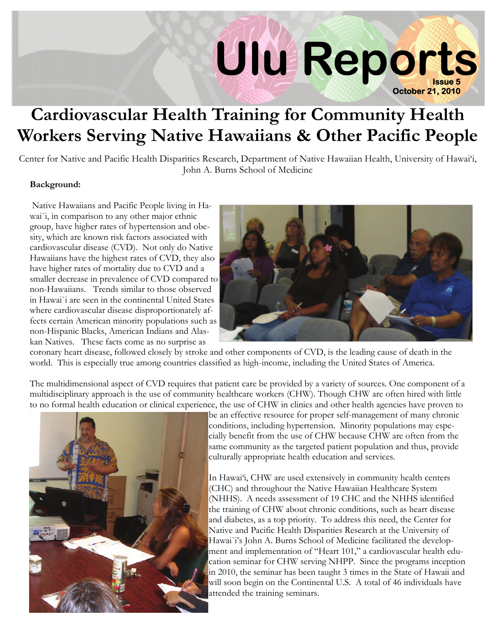# **Issue 5 Ulu Reports October 21, 2010**

## **Cardiovascular Health Training for Community Health Workers Serving Native Hawaiians & Other Pacific People**

Center for Native and Pacific Health Disparities Research, Department of Native Hawaiian Health, University of Hawai'i, John A. Burns School of Medicine

#### **Background:**

 Native Hawaiians and Pacific People living in Hawai`i, in comparison to any other major ethnic group, have higher rates of hypertension and obesity, which are known risk factors associated with cardiovascular disease (CVD). Not only do Native Hawaiians have the highest rates of CVD, they also have higher rates of mortality due to CVD and a smaller decrease in prevalence of CVD compared to non-Hawaiians. Trends similar to those observed in Hawai`i are seen in the continental United States where cardiovascular disease disproportionately affects certain American minority populations such as non-Hispanic Blacks, American Indians and Alaskan Natives. These facts come as no surprise as



coronary heart disease, followed closely by stroke and other components of CVD, is the leading cause of death in the world. This is especially true among countries classified as high-income, including the United States of America.

The multidimensional aspect of CVD requires that patient care be provided by a variety of sources. One component of a multidisciplinary approach is the use of community healthcare workers (CHW). Though CHW are often hired with little to no formal health education or clinical experience, the use of CHW in clinics and other health agencies have proven to



be an effective resource for proper self-management of many chronic conditions, including hypertension. Minority populations may especially benefit from the use of CHW because CHW are often from the same community as the targeted patient population and thus, provide culturally appropriate health education and services.

In Hawai'i, CHW are used extensively in community health centers (CHC) and throughout the Native Hawaiian Healthcare System (NHHS). A needs assessment of 19 CHC and the NHHS identified the training of CHW about chronic conditions, such as heart disease and diabetes, as a top priority. To address this need, the Center for Native and Pacific Health Disparities Research at the University of Hawai`i's John A. Burns School of Medicine facilitated the development and implementation of "Heart 101," a cardiovascular health education seminar for CHW serving NHPP. Since the programs inception in 2010, the seminar has been taught 3 times in the State of Hawaii and will soon begin on the Continental U.S. A total of 46 individuals have attended the training seminars.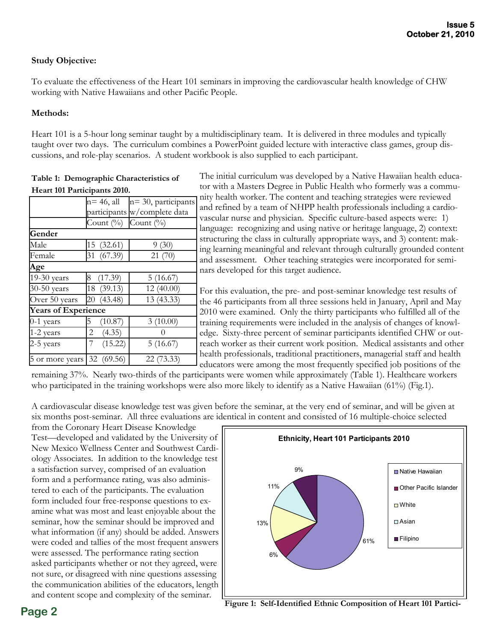#### **Study Objective:**

To evaluate the effectiveness of the Heart 101 seminars in improving the cardiovascular health knowledge of CHW working with Native Hawaiians and other Pacific People.

#### **Methods:**

Heart 101 is a 5-hour long seminar taught by a multidisciplinary team. It is delivered in three modules and typically taught over two days. The curriculum combines a PowerPoint guided lecture with interactive class games, group discussions, and role-play scenarios. A student workbook is also supplied to each participant.

**Table 1: Demographic Characteristics of Heart 101 Participants 2010.** 

| n= 46, all | n= 30, participants                                                                                                                                           |
|------------|---------------------------------------------------------------------------------------------------------------------------------------------------------------|
|            | participants w/complete data                                                                                                                                  |
|            | Count (%)                                                                                                                                                     |
|            |                                                                                                                                                               |
|            | 9(30)                                                                                                                                                         |
|            | 21(70)                                                                                                                                                        |
|            |                                                                                                                                                               |
|            | 5(16.67)                                                                                                                                                      |
|            | 12 (40.00)                                                                                                                                                    |
|            | 13 (43.33)                                                                                                                                                    |
|            |                                                                                                                                                               |
|            | 3(10.00)                                                                                                                                                      |
|            |                                                                                                                                                               |
|            | 5(16.67)                                                                                                                                                      |
|            | 22 (73.33)                                                                                                                                                    |
|            | Count $(\%)$<br>15 (32.61)<br>31 (67.39)<br>8 (17.39)<br>18 (39.13)<br>20 (43.48)<br><b>Years of Experience</b><br>(10.87)<br>(4.35)<br>(15.22)<br>32 (69.56) |

The initial curriculum was developed by a Native Hawaiian health educator with a Masters Degree in Public Health who formerly was a community health worker. The content and teaching strategies were reviewed and refined by a team of NHPP health professionals including a cardioascular nurse and physician. Specific culture-based aspects were: 1) language: recognizing and using native or heritage language, 2) context: tructuring the class in culturally appropriate ways, and 3) content: making learning meaningful and relevant through culturally grounded content and assessment. Other teaching strategies were incorporated for semiars developed for this target audience.

For this evaluation, the pre- and post-seminar knowledge test results of he 46 participants from all three sessions held in January, April and May 2010 were examined. Only the thirty participants who fulfilled all of the training requirements were included in the analysis of changes of knowldge. Sixty-three percent of seminar participants identified CHW or outeach worker as their current work position. Medical assistants and other health professionals, traditional practitioners, managerial staff and health educators were among the most frequently specified job positions of the

remaining 37%. Nearly two-thirds of the participants were women while approximately (Table 1). Healthcare workers who participated in the training workshops were also more likely to identify as a Native Hawaiian (61%) (Fig.1).

A cardiovascular disease knowledge test was given before the seminar, at the very end of seminar, and will be given at six months post-seminar. All three evaluations are identical in content and consisted of 16 multiple-choice selected

from the Coronary Heart Disease Knowledge Test—developed and validated by the University of New Mexico Wellness Center and Southwest Cardiology Associates. In addition to the knowledge test a satisfaction survey, comprised of an evaluation form and a performance rating, was also administered to each of the participants. The evaluation form included four free-response questions to examine what was most and least enjoyable about the seminar, how the seminar should be improved and what information (if any) should be added. Answers were coded and tallies of the most frequent answers were assessed. The performance rating section asked participants whether or not they agreed, were not sure, or disagreed with nine questions assessing the communication abilities of the educators, length and content scope and complexity of the seminar.



**Page 2 Figure 1: Self-Identified Ethnic Composition of Heart 101 Partici-**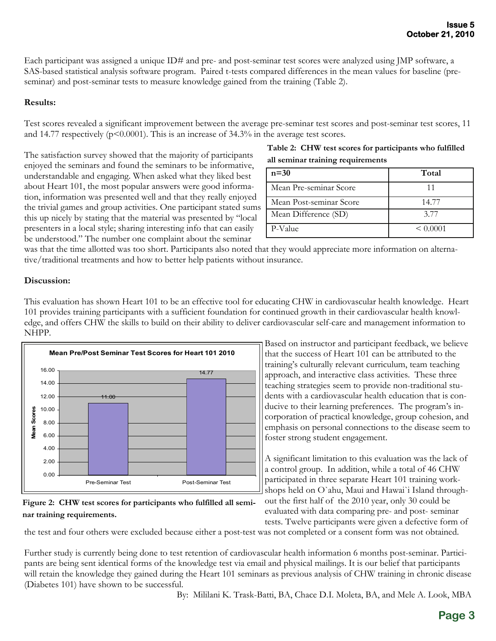Each participant was assigned a unique ID# and pre- and post-seminar test scores were analyzed using JMP software, a SAS-based statistical analysis software program. Paired t-tests compared differences in the mean values for baseline (preseminar) and post-seminar tests to measure knowledge gained from the training (Table 2).

#### **Results:**

Test scores revealed a significant improvement between the average pre-seminar test scores and post-seminar test scores, 11 and 14.77 respectively  $(p<0.0001)$ . This is an increase of 34.3% in the average test scores.

The satisfaction survey showed that the majority of participants enjoyed the seminars and found the seminars to be informative, understandable and engaging. When asked what they liked best about Heart 101, the most popular answers were good information, information was presented well and that they really enjoyed the trivial games and group activities. One participant stated sums this up nicely by stating that the material was presented by "local presenters in a local style; sharing interesting info that can easily be understood." The number one complaint about the seminar

#### **Table 2: CHW test scores for participants who fulfilled all seminar training requirements**

| $n=30$                  | Total         |
|-------------------------|---------------|
| Mean Pre-seminar Score  |               |
| Mean Post-seminar Score | 14.77         |
| Mean Difference (SD)    | 3.77          |
| P-Value                 | ${}_{0.0001}$ |

was that the time allotted was too short. Participants also noted that they would appreciate more information on alternative/traditional treatments and how to better help patients without insurance.

#### **Discussion:**

This evaluation has shown Heart 101 to be an effective tool for educating CHW in cardiovascular health knowledge. Heart 101 provides training participants with a sufficient foundation for continued growth in their cardiovascular health knowledge, and offers CHW the skills to build on their ability to deliver cardiovascular self-care and management information to NHPP.



#### **Figure 2: CHW test scores for participants who fulfilled all seminar training requirements.**

Based on instructor and participant feedback, we believe that the success of Heart 101 can be attributed to the training's culturally relevant curriculum, team teaching approach, and interactive class activities. These three teaching strategies seem to provide non-traditional students with a cardiovascular health education that is conducive to their learning preferences. The program's incorporation of practical knowledge, group cohesion, and emphasis on personal connections to the disease seem to foster strong student engagement.

A significant limitation to this evaluation was the lack of a control group. In addition, while a total of 46 CHW participated in three separate Heart 101 training workshops held on O`ahu, Maui and Hawai`i Island throughout the first half of the 2010 year, only 30 could be

evaluated with data comparing pre- and post- seminar tests. Twelve participants were given a defective form of

the test and four others were excluded because either a post-test was not completed or a consent form was not obtained.

Further study is currently being done to test retention of cardiovascular health information 6 months post-seminar. Participants are being sent identical forms of the knowledge test via email and physical mailings. It is our belief that participants will retain the knowledge they gained during the Heart 101 seminars as previous analysis of CHW training in chronic disease (Diabetes 101) have shown to be successful.

By: Mililani K. Trask-Batti, BA, Chace D.I. Moleta, BA, and Mele A. Look, MBA